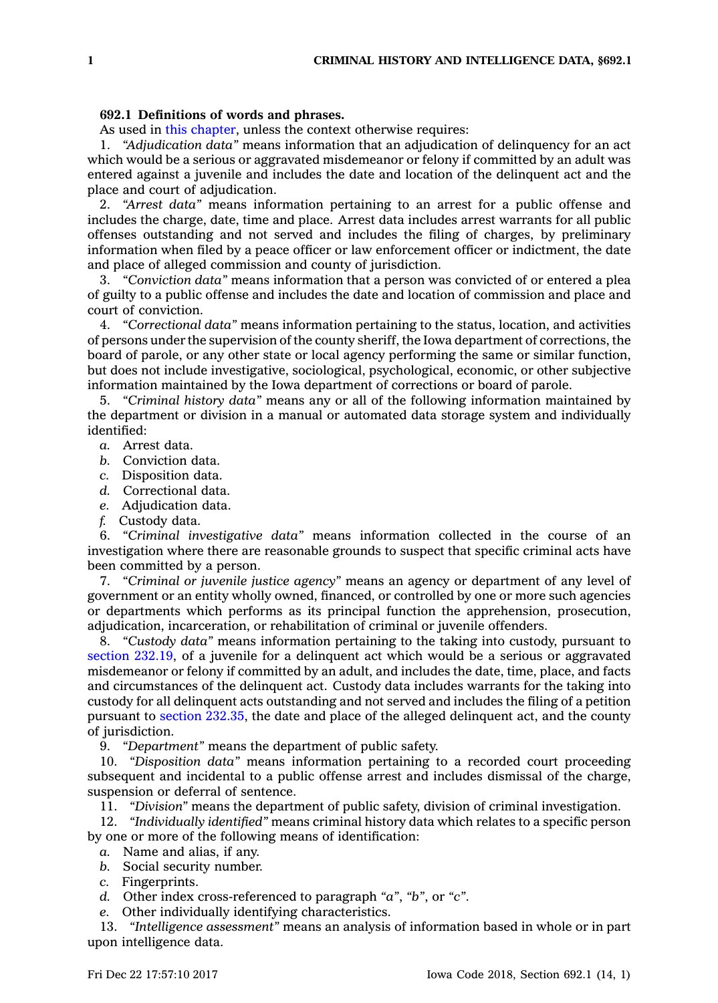## **692.1 Definitions of words and phrases.**

As used in this [chapter](https://www.legis.iowa.gov/docs/code//692.pdf), unless the context otherwise requires:

1. *"Adjudication data"* means information that an adjudication of delinquency for an act which would be <sup>a</sup> serious or aggravated misdemeanor or felony if committed by an adult was entered against <sup>a</sup> juvenile and includes the date and location of the delinquent act and the place and court of adjudication.

2. *"Arrest data"* means information pertaining to an arrest for <sup>a</sup> public offense and includes the charge, date, time and place. Arrest data includes arrest warrants for all public offenses outstanding and not served and includes the filing of charges, by preliminary information when filed by <sup>a</sup> peace officer or law enforcement officer or indictment, the date and place of alleged commission and county of jurisdiction.

3. *"Conviction data"* means information that <sup>a</sup> person was convicted of or entered <sup>a</sup> plea of guilty to <sup>a</sup> public offense and includes the date and location of commission and place and court of conviction.

4. *"Correctional data"* means information pertaining to the status, location, and activities of persons under the supervision of the county sheriff, the Iowa department of corrections, the board of parole, or any other state or local agency performing the same or similar function, but does not include investigative, sociological, psychological, economic, or other subjective information maintained by the Iowa department of corrections or board of parole.

5. *"Criminal history data"* means any or all of the following information maintained by the department or division in <sup>a</sup> manual or automated data storage system and individually identified:

- *a.* Arrest data.
- *b.* Conviction data.
- *c.* Disposition data.
- *d.* Correctional data.
- *e.* Adjudication data.
- *f.* Custody data.

6. *"Criminal investigative data"* means information collected in the course of an investigation where there are reasonable grounds to suspect that specific criminal acts have been committed by <sup>a</sup> person.

7. *"Criminal or juvenile justice agency"* means an agency or department of any level of government or an entity wholly owned, financed, or controlled by one or more such agencies or departments which performs as its principal function the apprehension, prosecution, adjudication, incarceration, or rehabilitation of criminal or juvenile offenders.

8. *"Custody data"* means information pertaining to the taking into custody, pursuant to section [232.19](https://www.legis.iowa.gov/docs/code/232.19.pdf), of <sup>a</sup> juvenile for <sup>a</sup> delinquent act which would be <sup>a</sup> serious or aggravated misdemeanor or felony if committed by an adult, and includes the date, time, place, and facts and circumstances of the delinquent act. Custody data includes warrants for the taking into custody for all delinquent acts outstanding and not served and includes the filing of <sup>a</sup> petition pursuant to section [232.35](https://www.legis.iowa.gov/docs/code/232.35.pdf), the date and place of the alleged delinquent act, and the county of jurisdiction.

9. *"Department"* means the department of public safety.

10. *"Disposition data"* means information pertaining to <sup>a</sup> recorded court proceeding subsequent and incidental to <sup>a</sup> public offense arrest and includes dismissal of the charge, suspension or deferral of sentence.

11. *"Division"* means the department of public safety, division of criminal investigation.

12. *"Individually identified"* means criminal history data which relates to <sup>a</sup> specific person by one or more of the following means of identification:

- *a.* Name and alias, if any.
- *b.* Social security number.
- *c.* Fingerprints.
- *d.* Other index cross-referenced to paragraph *"a"*, *"b"*, or *"c"*.
- *e.* Other individually identifying characteristics.

13. *"Intelligence assessment"* means an analysis of information based in whole or in part upon intelligence data.